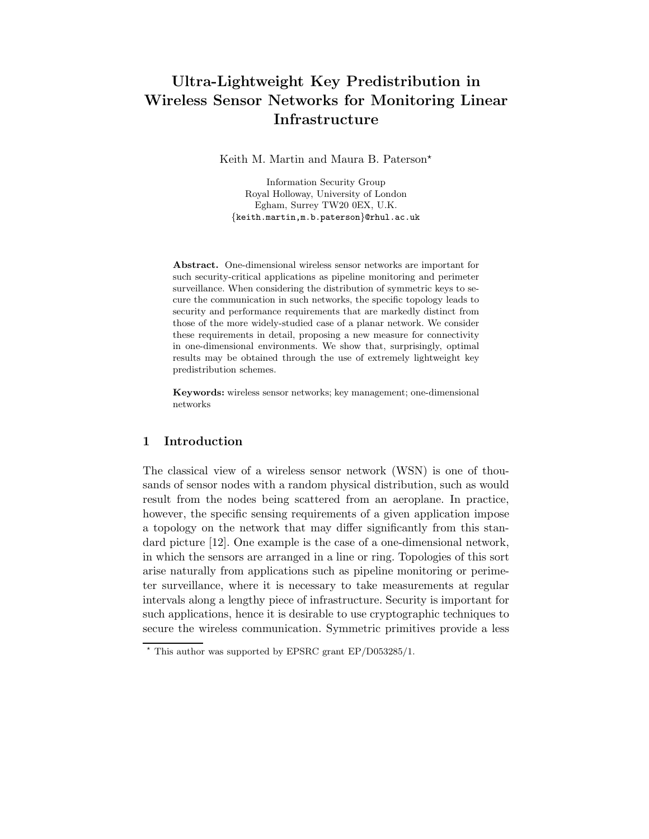# Ultra-Lightweight Key Predistribution in Wireless Sensor Networks for Monitoring Linear Infrastructure

Keith M. Martin and Maura B. Paterson<sup>\*</sup>

Information Security Group Royal Holloway, University of London Egham, Surrey TW20 0EX, U.K. {keith.martin,m.b.paterson}@rhul.ac.uk

Abstract. One-dimensional wireless sensor networks are important for such security-critical applications as pipeline monitoring and perimeter surveillance. When considering the distribution of symmetric keys to secure the communication in such networks, the specific topology leads to security and performance requirements that are markedly distinct from those of the more widely-studied case of a planar network. We consider these requirements in detail, proposing a new measure for connectivity in one-dimensional environments. We show that, surprisingly, optimal results may be obtained through the use of extremely lightweight key predistribution schemes.

Keywords: wireless sensor networks; key management; one-dimensional networks

#### 1 Introduction

The classical view of a wireless sensor network (WSN) is one of thousands of sensor nodes with a random physical distribution, such as would result from the nodes being scattered from an aeroplane. In practice, however, the specific sensing requirements of a given application impose a topology on the network that may differ significantly from this standard picture [12]. One example is the case of a one-dimensional network, in which the sensors are arranged in a line or ring. Topologies of this sort arise naturally from applications such as pipeline monitoring or perimeter surveillance, where it is necessary to take measurements at regular intervals along a lengthy piece of infrastructure. Security is important for such applications, hence it is desirable to use cryptographic techniques to secure the wireless communication. Symmetric primitives provide a less

 $\star$  This author was supported by EPSRC grant EP/D053285/1.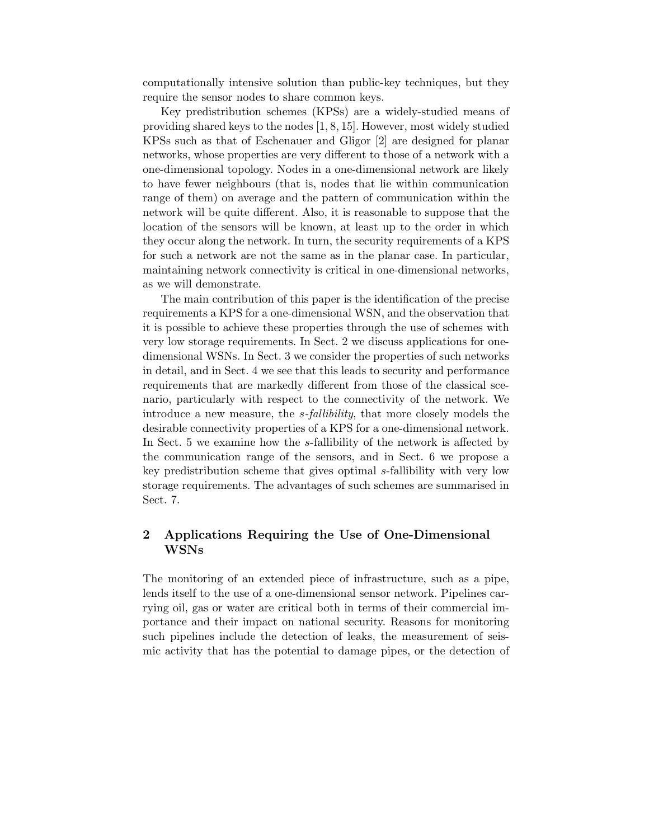computationally intensive solution than public-key techniques, but they require the sensor nodes to share common keys.

Key predistribution schemes (KPSs) are a widely-studied means of providing shared keys to the nodes [1, 8, 15]. However, most widely studied KPSs such as that of Eschenauer and Gligor [2] are designed for planar networks, whose properties are very different to those of a network with a one-dimensional topology. Nodes in a one-dimensional network are likely to have fewer neighbours (that is, nodes that lie within communication range of them) on average and the pattern of communication within the network will be quite different. Also, it is reasonable to suppose that the location of the sensors will be known, at least up to the order in which they occur along the network. In turn, the security requirements of a KPS for such a network are not the same as in the planar case. In particular, maintaining network connectivity is critical in one-dimensional networks, as we will demonstrate.

The main contribution of this paper is the identification of the precise requirements a KPS for a one-dimensional WSN, and the observation that it is possible to achieve these properties through the use of schemes with very low storage requirements. In Sect. 2 we discuss applications for onedimensional WSNs. In Sect. 3 we consider the properties of such networks in detail, and in Sect. 4 we see that this leads to security and performance requirements that are markedly different from those of the classical scenario, particularly with respect to the connectivity of the network. We introduce a new measure, the s*-fallibility*, that more closely models the desirable connectivity properties of a KPS for a one-dimensional network. In Sect. 5 we examine how the s-fallibility of the network is affected by the communication range of the sensors, and in Sect. 6 we propose a key predistribution scheme that gives optimal s-fallibility with very low storage requirements. The advantages of such schemes are summarised in Sect. 7.

# 2 Applications Requiring the Use of One-Dimensional WSNs

The monitoring of an extended piece of infrastructure, such as a pipe, lends itself to the use of a one-dimensional sensor network. Pipelines carrying oil, gas or water are critical both in terms of their commercial importance and their impact on national security. Reasons for monitoring such pipelines include the detection of leaks, the measurement of seismic activity that has the potential to damage pipes, or the detection of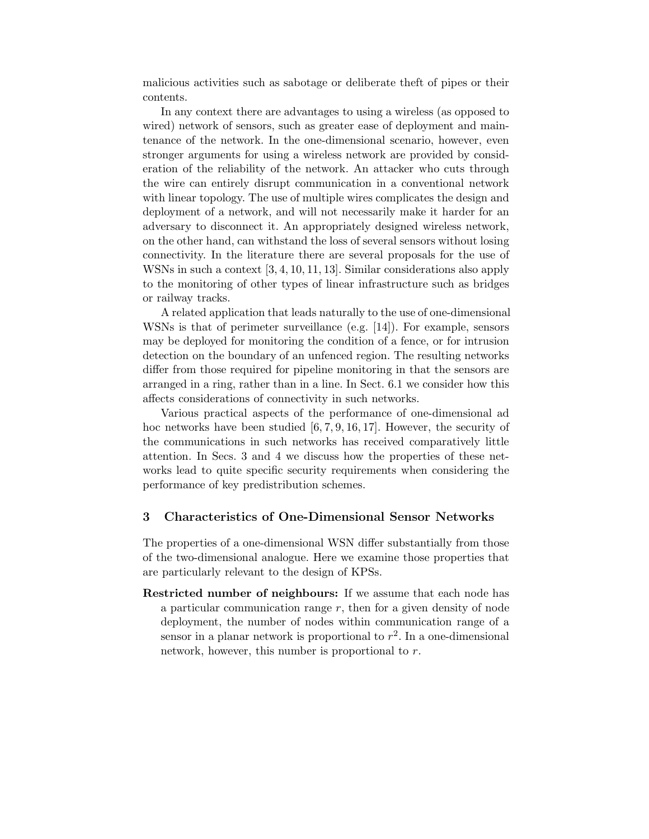malicious activities such as sabotage or deliberate theft of pipes or their contents.

In any context there are advantages to using a wireless (as opposed to wired) network of sensors, such as greater ease of deployment and maintenance of the network. In the one-dimensional scenario, however, even stronger arguments for using a wireless network are provided by consideration of the reliability of the network. An attacker who cuts through the wire can entirely disrupt communication in a conventional network with linear topology. The use of multiple wires complicates the design and deployment of a network, and will not necessarily make it harder for an adversary to disconnect it. An appropriately designed wireless network, on the other hand, can withstand the loss of several sensors without losing connectivity. In the literature there are several proposals for the use of WSNs in such a context [3, 4, 10, 11, 13]. Similar considerations also apply to the monitoring of other types of linear infrastructure such as bridges or railway tracks.

A related application that leads naturally to the use of one-dimensional WSNs is that of perimeter surveillance (e.g. [14]). For example, sensors may be deployed for monitoring the condition of a fence, or for intrusion detection on the boundary of an unfenced region. The resulting networks differ from those required for pipeline monitoring in that the sensors are arranged in a ring, rather than in a line. In Sect. 6.1 we consider how this affects considerations of connectivity in such networks.

Various practical aspects of the performance of one-dimensional ad hoc networks have been studied  $[6, 7, 9, 16, 17]$ . However, the security of the communications in such networks has received comparatively little attention. In Secs. 3 and 4 we discuss how the properties of these networks lead to quite specific security requirements when considering the performance of key predistribution schemes.

#### 3 Characteristics of One-Dimensional Sensor Networks

The properties of a one-dimensional WSN differ substantially from those of the two-dimensional analogue. Here we examine those properties that are particularly relevant to the design of KPSs.

Restricted number of neighbours: If we assume that each node has a particular communication range  $r$ , then for a given density of node deployment, the number of nodes within communication range of a sensor in a planar network is proportional to  $r^2$ . In a one-dimensional network, however, this number is proportional to r.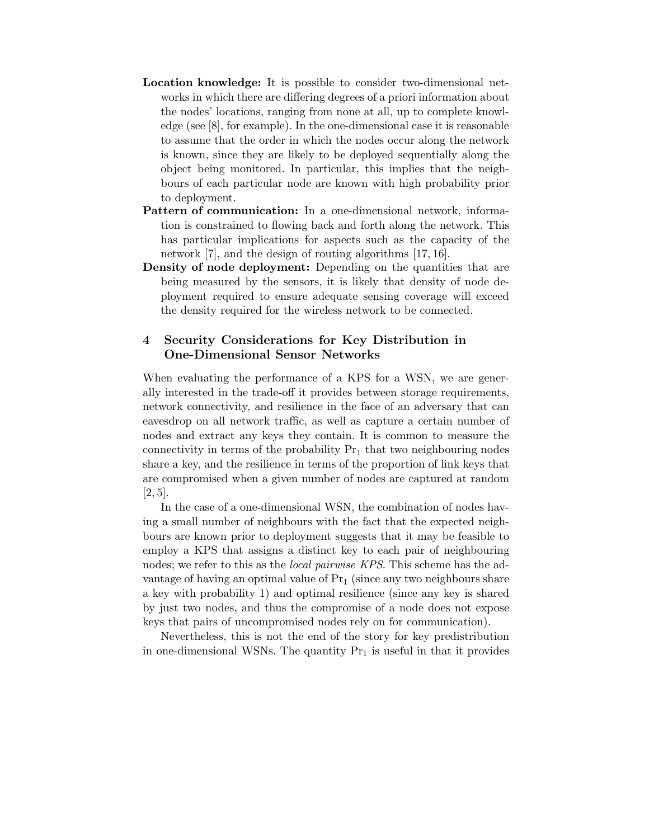- Location knowledge: It is possible to consider two-dimensional networks in which there are differing degrees of a priori information about the nodes' locations, ranging from none at all, up to complete knowledge (see [8], for example). In the one-dimensional case it is reasonable to assume that the order in which the nodes occur along the network is known, since they are likely to be deployed sequentially along the object being monitored. In particular, this implies that the neighbours of each particular node are known with high probability prior to deployment.
- Pattern of communication: In a one-dimensional network, information is constrained to flowing back and forth along the network. This has particular implications for aspects such as the capacity of the network [7], and the design of routing algorithms [17, 16].
- Density of node deployment: Depending on the quantities that are being measured by the sensors, it is likely that density of node deployment required to ensure adequate sensing coverage will exceed the density required for the wireless network to be connected.

### 4 Security Considerations for Key Distribution in One-Dimensional Sensor Networks

When evaluating the performance of a KPS for a WSN, we are generally interested in the trade-off it provides between storage requirements, network connectivity, and resilience in the face of an adversary that can eavesdrop on all network traffic, as well as capture a certain number of nodes and extract any keys they contain. It is common to measure the connectivity in terms of the probability  $Pr_1$  that two neighbouring nodes share a key, and the resilience in terms of the proportion of link keys that are compromised when a given number of nodes are captured at random  $[2, 5]$ .

In the case of a one-dimensional WSN, the combination of nodes having a small number of neighbours with the fact that the expected neighbours are known prior to deployment suggests that it may be feasible to employ a KPS that assigns a distinct key to each pair of neighbouring nodes; we refer to this as the *local pairwise KPS*. This scheme has the advantage of having an optimal value of  $Pr_1$  (since any two neighbours share a key with probability 1) and optimal resilience (since any key is shared by just two nodes, and thus the compromise of a node does not expose keys that pairs of uncompromised nodes rely on for communication).

Nevertheless, this is not the end of the story for key predistribution in one-dimensional WSNs. The quantity  $Pr_1$  is useful in that it provides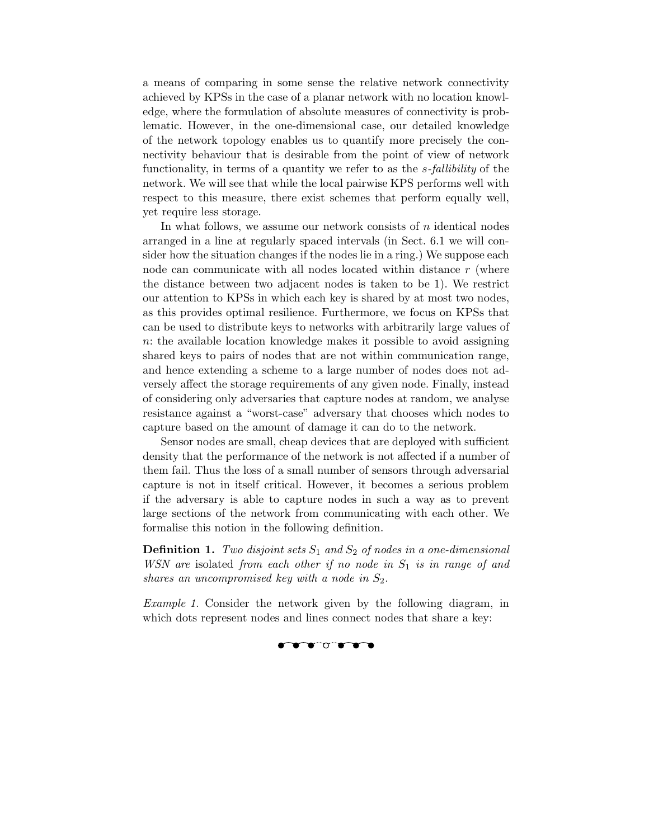a means of comparing in some sense the relative network connectivity achieved by KPSs in the case of a planar network with no location knowledge, where the formulation of absolute measures of connectivity is problematic. However, in the one-dimensional case, our detailed knowledge of the network topology enables us to quantify more precisely the connectivity behaviour that is desirable from the point of view of network functionality, in terms of a quantity we refer to as the s*-fallibility* of the network. We will see that while the local pairwise KPS performs well with respect to this measure, there exist schemes that perform equally well, yet require less storage.

In what follows, we assume our network consists of  $n$  identical nodes arranged in a line at regularly spaced intervals (in Sect. 6.1 we will consider how the situation changes if the nodes lie in a ring.) We suppose each node can communicate with all nodes located within distance r (where the distance between two adjacent nodes is taken to be 1). We restrict our attention to KPSs in which each key is shared by at most two nodes, as this provides optimal resilience. Furthermore, we focus on KPSs that can be used to distribute keys to networks with arbitrarily large values of n: the available location knowledge makes it possible to avoid assigning shared keys to pairs of nodes that are not within communication range, and hence extending a scheme to a large number of nodes does not adversely affect the storage requirements of any given node. Finally, instead of considering only adversaries that capture nodes at random, we analyse resistance against a "worst-case" adversary that chooses which nodes to capture based on the amount of damage it can do to the network.

Sensor nodes are small, cheap devices that are deployed with sufficient density that the performance of the network is not affected if a number of them fail. Thus the loss of a small number of sensors through adversarial capture is not in itself critical. However, it becomes a serious problem if the adversary is able to capture nodes in such a way as to prevent large sections of the network from communicating with each other. We formalise this notion in the following definition.

**Definition 1.** *Two disjoint sets*  $S_1$  *and*  $S_2$  *of nodes in a one-dimensional WSN* are isolated *from each other if no node in*  $S_1$  *is in range of and shares an uncompromised key with a node in*  $S_2$ *.* 

*Example 1.* Consider the network given by the following diagram, in which dots represent nodes and lines connect nodes that share a key:

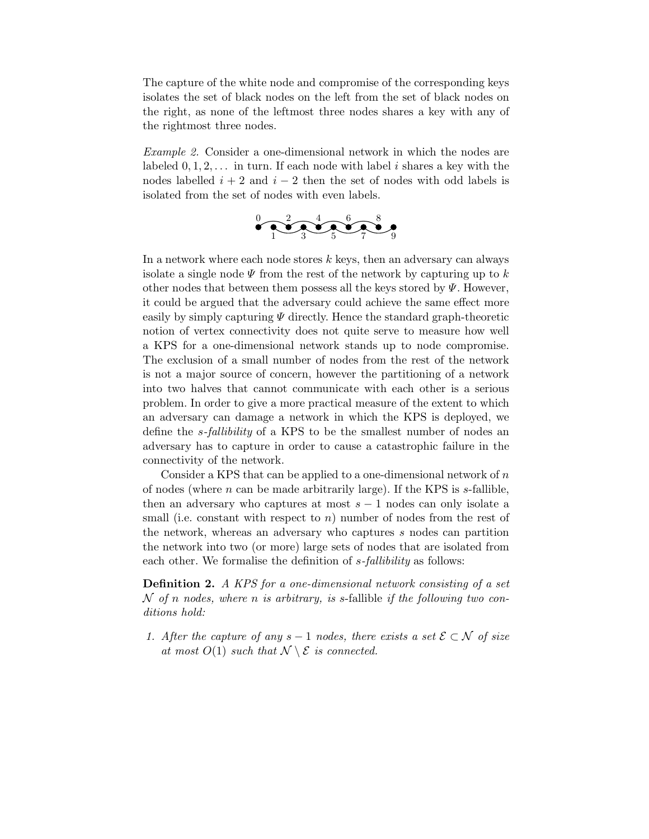The capture of the white node and compromise of the corresponding keys isolates the set of black nodes on the left from the set of black nodes on the right, as none of the leftmost three nodes shares a key with any of the rightmost three nodes.

*Example 2.* Consider a one-dimensional network in which the nodes are labeled  $0, 1, 2, \ldots$  in turn. If each node with label i shares a key with the nodes labelled  $i + 2$  and  $i - 2$  then the set of nodes with odd labels is isolated from the set of nodes with even labels.



In a network where each node stores  $k$  keys, then an adversary can always isolate a single node  $\Psi$  from the rest of the network by capturing up to k other nodes that between them possess all the keys stored by  $\Psi$ . However, it could be argued that the adversary could achieve the same effect more easily by simply capturing  $\Psi$  directly. Hence the standard graph-theoretic notion of vertex connectivity does not quite serve to measure how well a KPS for a one-dimensional network stands up to node compromise. The exclusion of a small number of nodes from the rest of the network is not a major source of concern, however the partitioning of a network into two halves that cannot communicate with each other is a serious problem. In order to give a more practical measure of the extent to which an adversary can damage a network in which the KPS is deployed, we define the s*-fallibility* of a KPS to be the smallest number of nodes an adversary has to capture in order to cause a catastrophic failure in the connectivity of the network.

Consider a KPS that can be applied to a one-dimensional network of  $n$ of nodes (where  $n$  can be made arbitrarily large). If the KPS is  $s$ -fallible, then an adversary who captures at most  $s - 1$  nodes can only isolate a small (i.e. constant with respect to  $n$ ) number of nodes from the rest of the network, whereas an adversary who captures s nodes can partition the network into two (or more) large sets of nodes that are isolated from each other. We formalise the definition of s*-fallibility* as follows:

Definition 2. *A KPS for a one-dimensional network consisting of a set* N *of* n *nodes, where* n *is arbitrary, is* s-fallible *if the following two conditions hold:*

*1. After the capture of any*  $s - 1$  *nodes, there exists a set*  $\mathcal{E} \subset \mathcal{N}$  *of size at most*  $O(1)$  *such that*  $\mathcal{N} \setminus \mathcal{E}$  *is connected.*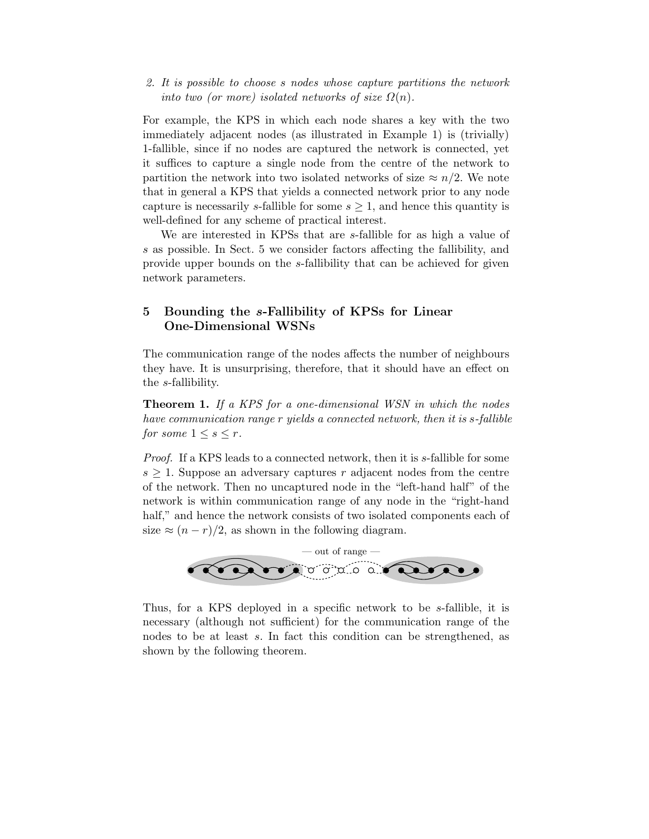*2. It is possible to choose* s *nodes whose capture partitions the network into two (or more) isolated networks of size*  $\Omega(n)$ *.* 

For example, the KPS in which each node shares a key with the two immediately adjacent nodes (as illustrated in Example 1) is (trivially) 1-fallible, since if no nodes are captured the network is connected, yet it suffices to capture a single node from the centre of the network to partition the network into two isolated networks of size  $\approx n/2$ . We note that in general a KPS that yields a connected network prior to any node capture is necessarily s-fallible for some  $s \geq 1$ , and hence this quantity is well-defined for any scheme of practical interest.

We are interested in KPSs that are s-fallible for as high a value of s as possible. In Sect. 5 we consider factors affecting the fallibility, and provide upper bounds on the s-fallibility that can be achieved for given network parameters.

## 5 Bounding the s-Fallibility of KPSs for Linear One-Dimensional WSNs

The communication range of the nodes affects the number of neighbours they have. It is unsurprising, therefore, that it should have an effect on the s-fallibility.

Theorem 1. *If a KPS for a one-dimensional WSN in which the nodes have communication range* r *yields a connected network, then it is* s*-fallible for some*  $1 \leq s \leq r$ *.* 

*Proof.* If a KPS leads to a connected network, then it is s-fallible for some  $s \geq 1$ . Suppose an adversary captures r adjacent nodes from the centre of the network. Then no uncaptured node in the "left-hand half" of the network is within communication range of any node in the "right-hand half," and hence the network consists of two isolated components each of size  $\approx (n-r)/2$ , as shown in the following diagram.



Thus, for a KPS deployed in a specific network to be s-fallible, it is necessary (although not sufficient) for the communication range of the nodes to be at least s. In fact this condition can be strengthened, as shown by the following theorem.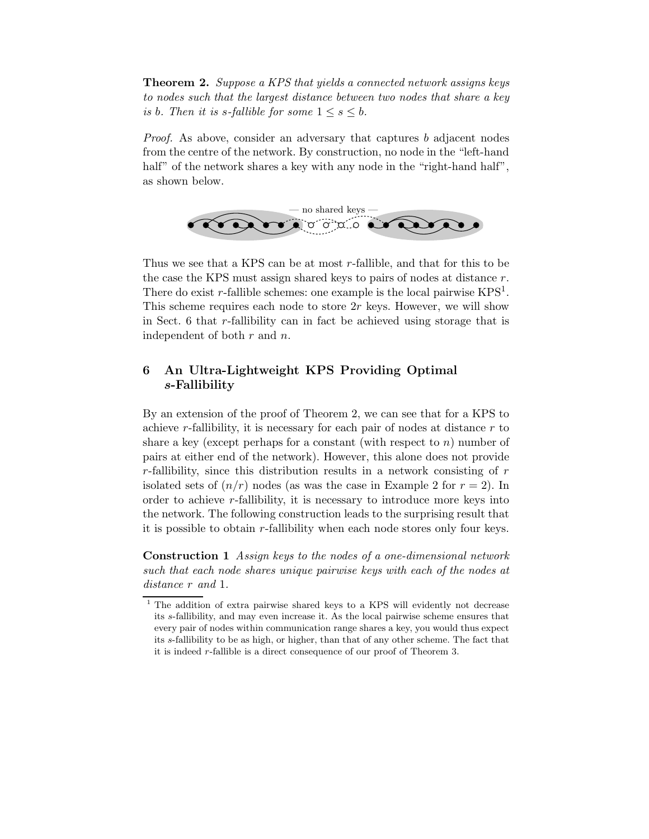Theorem 2. *Suppose a KPS that yields a connected network assigns keys to nodes such that the largest distance between two nodes that share a key is* b. Then it is s-fallible for some  $1 \leq s \leq b$ .

*Proof.* As above, consider an adversary that captures b adjacent nodes from the centre of the network. By construction, no node in the "left-hand half" of the network shares a key with any node in the "right-hand half", as shown below.



Thus we see that a KPS can be at most r-fallible, and that for this to be the case the KPS must assign shared keys to pairs of nodes at distance r. There do exist r-fallible schemes: one example is the local pairwise  $KPS<sup>1</sup>$ . This scheme requires each node to store  $2r$  keys. However, we will show in Sect. 6 that r-fallibility can in fact be achieved using storage that is independent of both  $r$  and  $n$ .

# 6 An Ultra-Lightweight KPS Providing Optimal s-Fallibility

By an extension of the proof of Theorem 2, we can see that for a KPS to achieve r-fallibility, it is necessary for each pair of nodes at distance r to share a key (except perhaps for a constant (with respect to  $n$ ) number of pairs at either end of the network). However, this alone does not provide  $r$ -fallibility, since this distribution results in a network consisting of  $r$ isolated sets of  $(n/r)$  nodes (as was the case in Example 2 for  $r = 2$ ). In order to achieve r-fallibility, it is necessary to introduce more keys into the network. The following construction leads to the surprising result that it is possible to obtain r-fallibility when each node stores only four keys.

Construction 1 *Assign keys to the nodes of a one-dimensional network such that each node shares unique pairwise keys with each of the nodes at distance* r *and* 1*.*

<sup>&</sup>lt;sup>1</sup> The addition of extra pairwise shared keys to a KPS will evidently not decrease its s-fallibility, and may even increase it. As the local pairwise scheme ensures that every pair of nodes within communication range shares a key, you would thus expect its s-fallibility to be as high, or higher, than that of any other scheme. The fact that it is indeed r-fallible is a direct consequence of our proof of Theorem 3.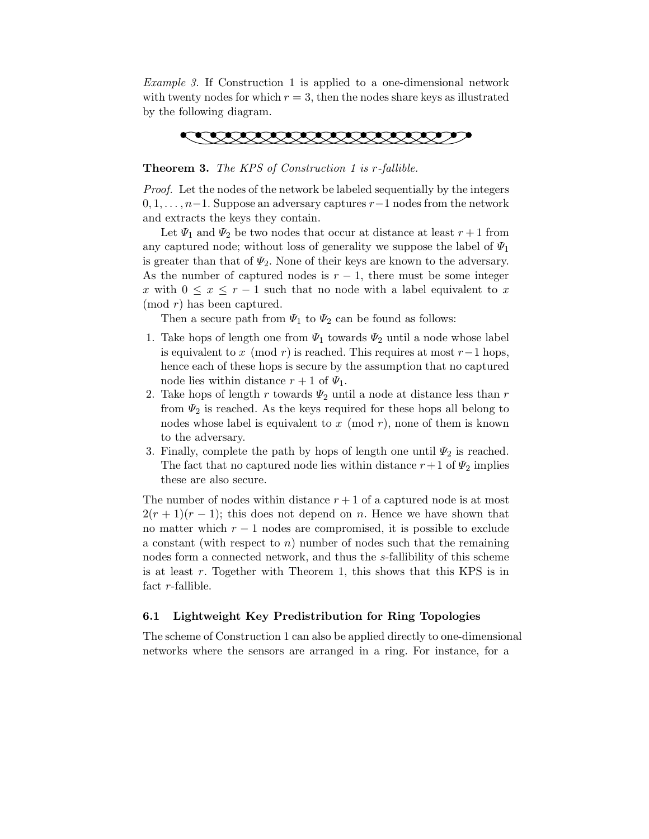*Example 3.* If Construction 1 is applied to a one-dimensional network with twenty nodes for which  $r = 3$ , then the nodes share keys as illustrated by the following diagram.



Theorem 3. *The KPS of Construction 1 is* r*-fallible.*

*Proof.* Let the nodes of the network be labeled sequentially by the integers  $0, 1, \ldots, n-1$ . Suppose an adversary captures  $r-1$  nodes from the network and extracts the keys they contain.

Let  $\Psi_1$  and  $\Psi_2$  be two nodes that occur at distance at least  $r+1$  from any captured node; without loss of generality we suppose the label of  $\Psi_1$ is greater than that of  $\Psi_2$ . None of their keys are known to the adversary. As the number of captured nodes is  $r-1$ , there must be some integer x with  $0 \leq x \leq r-1$  such that no node with a label equivalent to x (mod r) has been captured.

Then a secure path from  $\Psi_1$  to  $\Psi_2$  can be found as follows:

- 1. Take hops of length one from  $\Psi_1$  towards  $\Psi_2$  until a node whose label is equivalent to x (mod r) is reached. This requires at most  $r-1$  hops, hence each of these hops is secure by the assumption that no captured node lies within distance  $r + 1$  of  $\Psi_1$ .
- 2. Take hops of length r towards  $\Psi_2$  until a node at distance less than r from  $\Psi_2$  is reached. As the keys required for these hops all belong to nodes whose label is equivalent to  $x \pmod{r}$ , none of them is known to the adversary.
- 3. Finally, complete the path by hops of length one until  $\Psi_2$  is reached. The fact that no captured node lies within distance  $r+1$  of  $\Psi_2$  implies these are also secure.

The number of nodes within distance  $r + 1$  of a captured node is at most  $2(r + 1)(r - 1)$ ; this does not depend on n. Hence we have shown that no matter which  $r - 1$  nodes are compromised, it is possible to exclude a constant (with respect to  $n$ ) number of nodes such that the remaining nodes form a connected network, and thus the s-fallibility of this scheme is at least  $r$ . Together with Theorem 1, this shows that this KPS is in fact r-fallible.

### 6.1 Lightweight Key Predistribution for Ring Topologies

The scheme of Construction 1 can also be applied directly to one-dimensional networks where the sensors are arranged in a ring. For instance, for a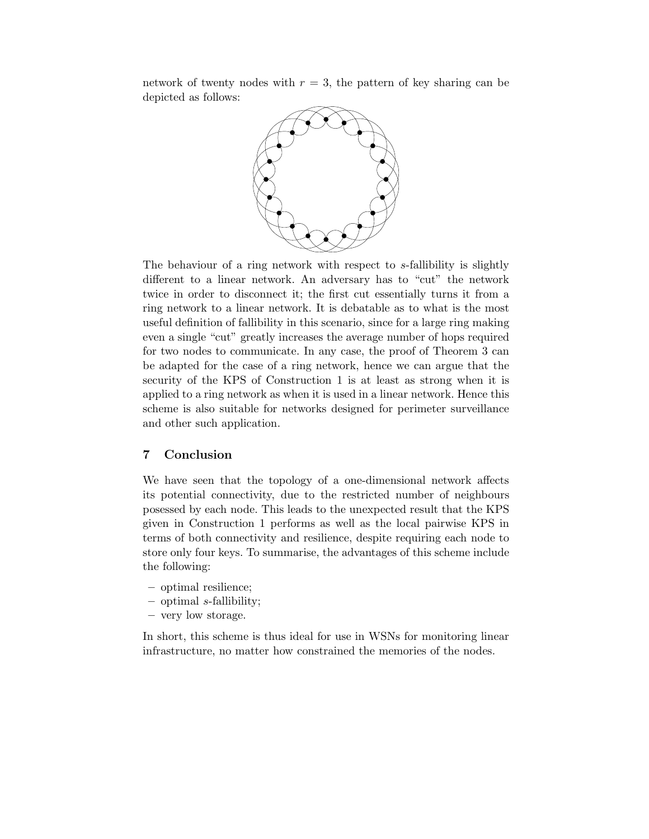network of twenty nodes with  $r = 3$ , the pattern of key sharing can be depicted as follows:



The behaviour of a ring network with respect to s-fallibility is slightly different to a linear network. An adversary has to "cut" the network twice in order to disconnect it; the first cut essentially turns it from a ring network to a linear network. It is debatable as to what is the most useful definition of fallibility in this scenario, since for a large ring making even a single "cut" greatly increases the average number of hops required for two nodes to communicate. In any case, the proof of Theorem 3 can be adapted for the case of a ring network, hence we can argue that the security of the KPS of Construction 1 is at least as strong when it is applied to a ring network as when it is used in a linear network. Hence this scheme is also suitable for networks designed for perimeter surveillance and other such application.

### 7 Conclusion

We have seen that the topology of a one-dimensional network affects its potential connectivity, due to the restricted number of neighbours posessed by each node. This leads to the unexpected result that the KPS given in Construction 1 performs as well as the local pairwise KPS in terms of both connectivity and resilience, despite requiring each node to store only four keys. To summarise, the advantages of this scheme include the following:

- optimal resilience;
- $-$  optimal *s*-fallibility;
- very low storage.

In short, this scheme is thus ideal for use in WSNs for monitoring linear infrastructure, no matter how constrained the memories of the nodes.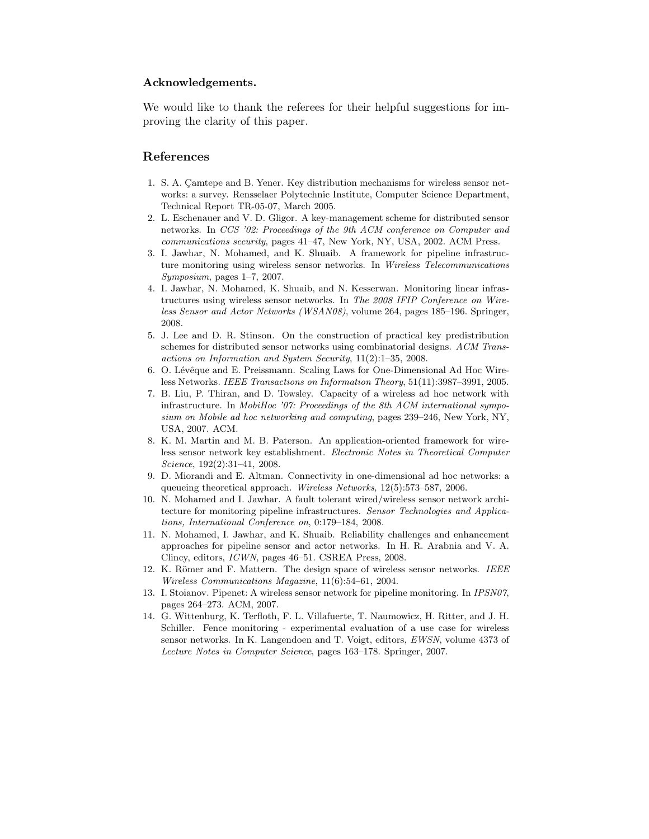#### Acknowledgements.

We would like to thank the referees for their helpful suggestions for improving the clarity of this paper.

### References

- 1. S. A. Camtepe and B. Yener. Key distribution mechanisms for wireless sensor networks: a survey. Rensselaer Polytechnic Institute, Computer Science Department, Technical Report TR-05-07, March 2005.
- 2. L. Eschenauer and V. D. Gligor. A key-management scheme for distributed sensor networks. In CCS '02: Proceedings of the 9th ACM conference on Computer and communications security, pages 41–47, New York, NY, USA, 2002. ACM Press.
- 3. I. Jawhar, N. Mohamed, and K. Shuaib. A framework for pipeline infrastructure monitoring using wireless sensor networks. In Wireless Telecommunications Symposium, pages 1–7, 2007.
- 4. I. Jawhar, N. Mohamed, K. Shuaib, and N. Kesserwan. Monitoring linear infrastructures using wireless sensor networks. In The 2008 IFIP Conference on Wireless Sensor and Actor Networks (WSAN08), volume 264, pages 185–196. Springer, 2008.
- 5. J. Lee and D. R. Stinson. On the construction of practical key predistribution schemes for distributed sensor networks using combinatorial designs. ACM Transactions on Information and System Security, 11(2):1–35, 2008.
- 6. O. Lévêque and E. Preissmann. Scaling Laws for One-Dimensional Ad Hoc Wireless Networks. IEEE Transactions on Information Theory, 51(11):3987–3991, 2005.
- 7. B. Liu, P. Thiran, and D. Towsley. Capacity of a wireless ad hoc network with infrastructure. In MobiHoc '07: Proceedings of the 8th ACM international symposium on Mobile ad hoc networking and computing, pages 239–246, New York, NY, USA, 2007. ACM.
- 8. K. M. Martin and M. B. Paterson. An application-oriented framework for wireless sensor network key establishment. Electronic Notes in Theoretical Computer Science, 192(2):31–41, 2008.
- 9. D. Miorandi and E. Altman. Connectivity in one-dimensional ad hoc networks: a queueing theoretical approach. Wireless Networks, 12(5):573-587, 2006.
- 10. N. Mohamed and I. Jawhar. A fault tolerant wired/wireless sensor network architecture for monitoring pipeline infrastructures. Sensor Technologies and Applications, International Conference on, 0:179–184, 2008.
- 11. N. Mohamed, I. Jawhar, and K. Shuaib. Reliability challenges and enhancement approaches for pipeline sensor and actor networks. In H. R. Arabnia and V. A. Clincy, editors, ICWN, pages 46–51. CSREA Press, 2008.
- 12. K. Römer and F. Mattern. The design space of wireless sensor networks. IEEE Wireless Communications Magazine, 11(6):54–61, 2004.
- 13. I. Stoianov. Pipenet: A wireless sensor network for pipeline monitoring. In IPSN07, pages 264–273. ACM, 2007.
- 14. G. Wittenburg, K. Terfloth, F. L. Villafuerte, T. Naumowicz, H. Ritter, and J. H. Schiller. Fence monitoring - experimental evaluation of a use case for wireless sensor networks. In K. Langendoen and T. Voigt, editors, EWSN, volume 4373 of Lecture Notes in Computer Science, pages 163–178. Springer, 2007.